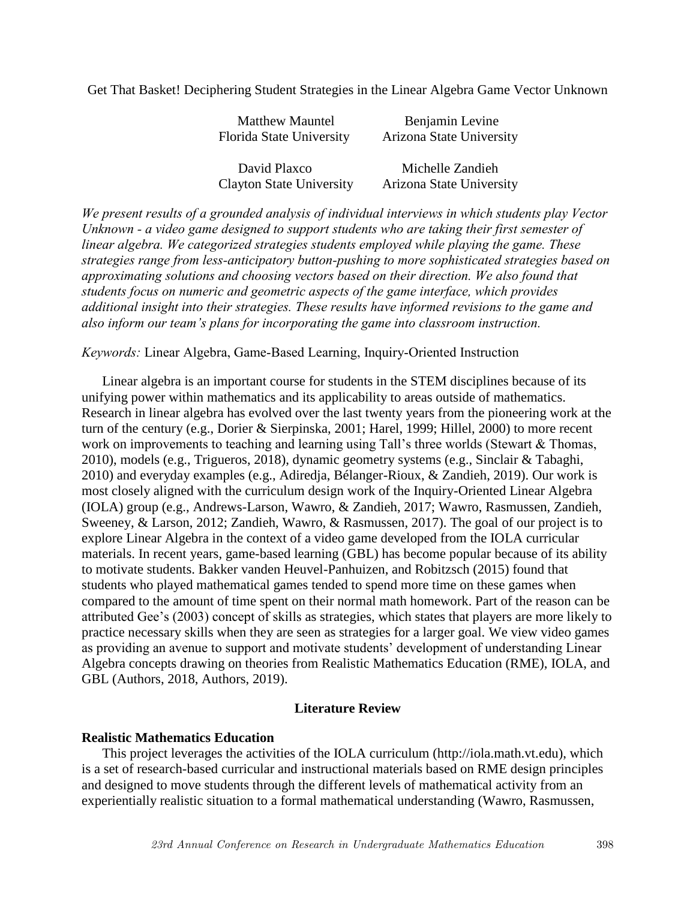Get That Basket! Deciphering Student Strategies in the Linear Algebra Game Vector Unknown

| <b>Matthew Mauntel</b>          | Benjamin Levine          |  |
|---------------------------------|--------------------------|--|
| Florida State University        | Arizona State University |  |
|                                 |                          |  |
| David Plaxco                    | Michelle Zandieh         |  |
| <b>Clayton State University</b> | Arizona State University |  |

*We present results of a grounded analysis of individual interviews in which students play Vector Unknown - a video game designed to support students who are taking their first semester of linear algebra. We categorized strategies students employed while playing the game. These strategies range from less-anticipatory button-pushing to more sophisticated strategies based on approximating solutions and choosing vectors based on their direction. We also found that students focus on numeric and geometric aspects of the game interface, which provides additional insight into their strategies. These results have informed revisions to the game and also inform our team's plans for incorporating the game into classroom instruction.*

### *Keywords:* Linear Algebra, Game-Based Learning, Inquiry-Oriented Instruction

Linear algebra is an important course for students in the STEM disciplines because of its unifying power within mathematics and its applicability to areas outside of mathematics. Research in linear algebra has evolved over the last twenty years from the pioneering work at the turn of the century (e.g., Dorier & Sierpinska, 2001; Harel, 1999; Hillel, 2000) to more recent work on improvements to teaching and learning using Tall's three worlds (Stewart & Thomas, 2010), models (e.g., Trigueros, 2018), dynamic geometry systems (e.g., Sinclair & Tabaghi, 2010) and everyday examples (e.g., Adiredja, Bélanger-Rioux, & Zandieh, 2019). Our work is most closely aligned with the curriculum design work of the Inquiry-Oriented Linear Algebra (IOLA) group (e.g., Andrews-Larson, Wawro, & Zandieh, 2017; Wawro, Rasmussen, Zandieh, Sweeney, & Larson, 2012; Zandieh, Wawro, & Rasmussen, 2017). The goal of our project is to explore Linear Algebra in the context of a video game developed from the IOLA curricular materials. In recent years, game-based learning (GBL) has become popular because of its ability to motivate students. Bakker vanden Heuvel-Panhuizen, and Robitzsch (2015) found that students who played mathematical games tended to spend more time on these games when compared to the amount of time spent on their normal math homework. Part of the reason can be attributed Gee's (2003) concept of skills as strategies, which states that players are more likely to practice necessary skills when they are seen as strategies for a larger goal. We view video games as providing an avenue to support and motivate students' development of understanding Linear Algebra concepts drawing on theories from Realistic Mathematics Education (RME), IOLA, and GBL (Authors, 2018, Authors, 2019).

## **Literature Review**

#### **Realistic Mathematics Education**

This project leverages the activities of the IOLA curriculum (http://iola.math.vt.edu), which is a set of research-based curricular and instructional materials based on RME design principles and designed to move students through the different levels of mathematical activity from an experientially realistic situation to a formal mathematical understanding (Wawro, Rasmussen,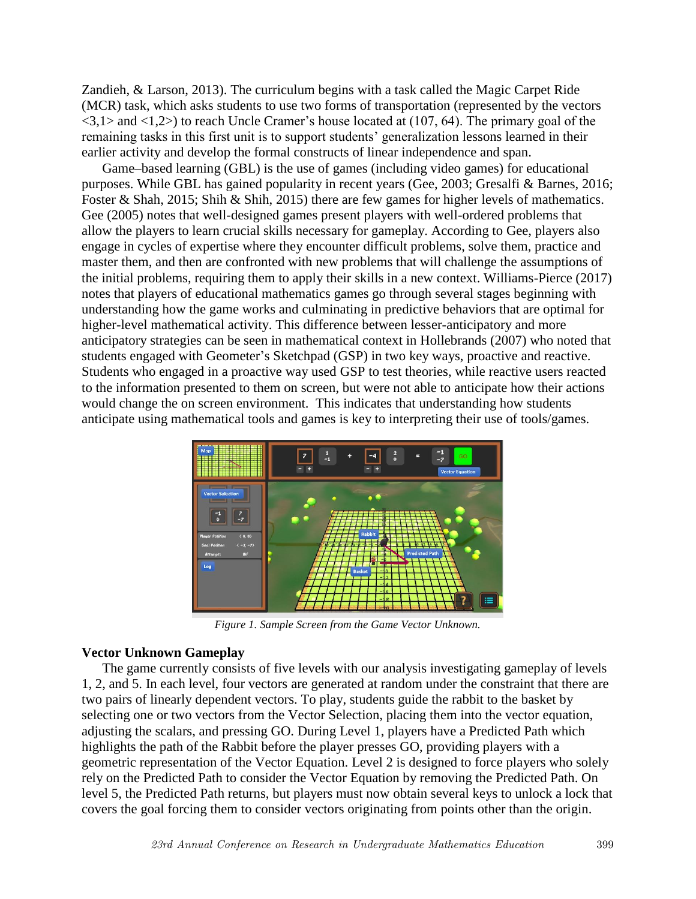Zandieh, & Larson, 2013). The curriculum begins with a task called the Magic Carpet Ride (MCR) task, which asks students to use two forms of transportation (represented by the vectors  $\langle 3,1 \rangle$  and  $\langle 1,2 \rangle$  to reach Uncle Cramer's house located at (107, 64). The primary goal of the remaining tasks in this first unit is to support students' generalization lessons learned in their earlier activity and develop the formal constructs of linear independence and span.

Game–based learning (GBL) is the use of games (including video games) for educational purposes. While GBL has gained popularity in recent years (Gee, 2003; Gresalfi & Barnes, 2016; Foster & Shah, 2015; Shih & Shih, 2015) there are few games for higher levels of mathematics. Gee (2005) notes that well-designed games present players with well-ordered problems that allow the players to learn crucial skills necessary for gameplay. According to Gee, players also engage in cycles of expertise where they encounter difficult problems, solve them, practice and master them, and then are confronted with new problems that will challenge the assumptions of the initial problems, requiring them to apply their skills in a new context. Williams-Pierce (2017) notes that players of educational mathematics games go through several stages beginning with understanding how the game works and culminating in predictive behaviors that are optimal for higher-level mathematical activity. This difference between lesser-anticipatory and more anticipatory strategies can be seen in mathematical context in Hollebrands (2007) who noted that students engaged with Geometer's Sketchpad (GSP) in two key ways, proactive and reactive. Students who engaged in a proactive way used GSP to test theories, while reactive users reacted to the information presented to them on screen, but were not able to anticipate how their actions would change the on screen environment. This indicates that understanding how students anticipate using mathematical tools and games is key to interpreting their use of tools/games.



*Figure 1. Sample Screen from the Game Vector Unknown.*

# **Vector Unknown Gameplay**

The game currently consists of five levels with our analysis investigating gameplay of levels 1, 2, and 5. In each level, four vectors are generated at random under the constraint that there are two pairs of linearly dependent vectors. To play, students guide the rabbit to the basket by selecting one or two vectors from the Vector Selection, placing them into the vector equation, adjusting the scalars, and pressing GO. During Level 1, players have a Predicted Path which highlights the path of the Rabbit before the player presses GO, providing players with a geometric representation of the Vector Equation. Level 2 is designed to force players who solely rely on the Predicted Path to consider the Vector Equation by removing the Predicted Path. On level 5, the Predicted Path returns, but players must now obtain several keys to unlock a lock that covers the goal forcing them to consider vectors originating from points other than the origin.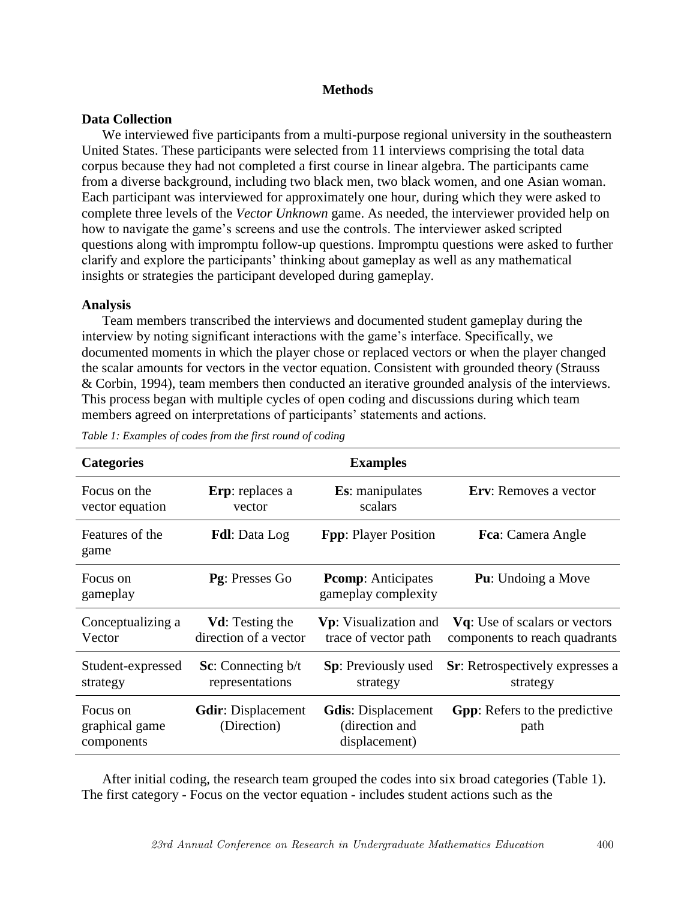## **Methods**

# **Data Collection**

We interviewed five participants from a multi-purpose regional university in the southeastern United States. These participants were selected from 11 interviews comprising the total data corpus because they had not completed a first course in linear algebra. The participants came from a diverse background, including two black men, two black women, and one Asian woman. Each participant was interviewed for approximately one hour, during which they were asked to complete three levels of the *Vector Unknown* game. As needed, the interviewer provided help on how to navigate the game's screens and use the controls. The interviewer asked scripted questions along with impromptu follow-up questions. Impromptu questions were asked to further clarify and explore the participants' thinking about gameplay as well as any mathematical insights or strategies the participant developed during gameplay.

# **Analysis**

Team members transcribed the interviews and documented student gameplay during the interview by noting significant interactions with the game's interface. Specifically, we documented moments in which the player chose or replaced vectors or when the player changed the scalar amounts for vectors in the vector equation. Consistent with grounded theory (Strauss & Corbin, 1994), team members then conducted an iterative grounded analysis of the interviews. This process began with multiple cycles of open coding and discussions during which team members agreed on interpretations of participants' statements and actions.

| <b>Categories</b>                        |                                                  | <b>Examples</b>                                              |                                                                        |
|------------------------------------------|--------------------------------------------------|--------------------------------------------------------------|------------------------------------------------------------------------|
| Focus on the<br>vector equation          | Erp: replaces a<br>vector                        | <b>Es</b> : manipulates<br>scalars                           | Erv: Removes a vector                                                  |
| Features of the<br>game                  | <b>Fdl</b> : Data Log                            | <b>Fpp:</b> Player Position                                  | <b>Fca</b> : Camera Angle                                              |
| Focus on<br>gameplay                     | Pg: Presses Go                                   | <b>Promp:</b> Anticipates<br>gameplay complexity             | <b>Pu</b> : Undoing a Move                                             |
| Conceptualizing a<br>Vector              | <b>Vd</b> : Testing the<br>direction of a vector | <b>Vp</b> : Visualization and<br>trace of vector path        | <b>Vq</b> : Use of scalars or vectors<br>components to reach quadrants |
| Student-expressed<br>strategy            | <b>Sc:</b> Connecting $b/t$<br>representations   | <b>Sp</b> : Previously used<br>strategy                      | <b>Sr:</b> Retrospectively expresses a<br>strategy                     |
| Focus on<br>graphical game<br>components | <b>Gdir:</b> Displacement<br>(Direction)         | <b>Gdis:</b> Displacement<br>(direction and<br>displacement) | <b>Gpp:</b> Refers to the predictive<br>path                           |

*Table 1: Examples of codes from the first round of coding*

After initial coding, the research team grouped the codes into six broad categories (Table 1). The first category - Focus on the vector equation - includes student actions such as the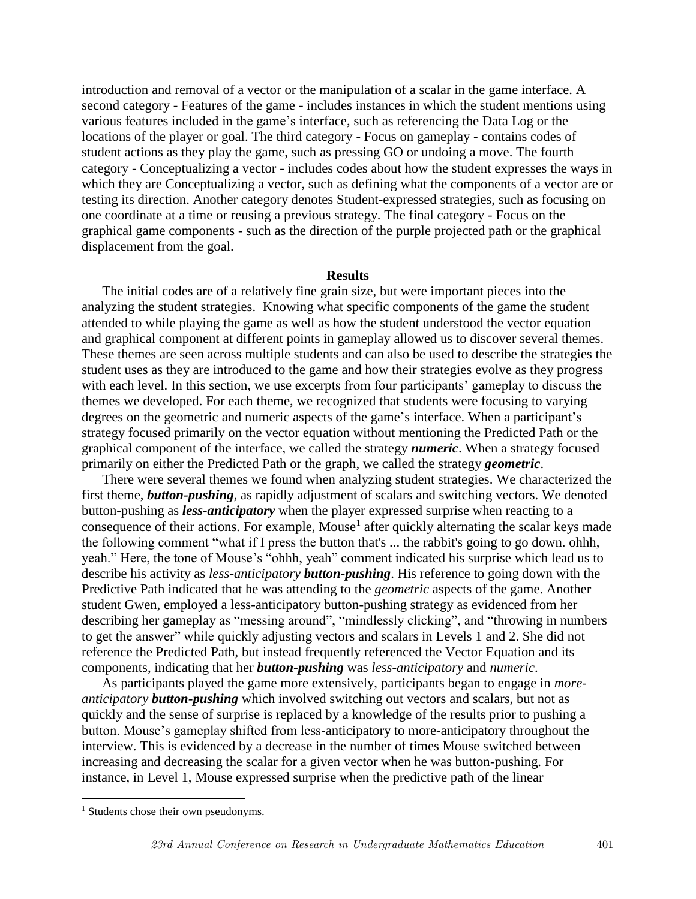introduction and removal of a vector or the manipulation of a scalar in the game interface. A second category - Features of the game - includes instances in which the student mentions using various features included in the game's interface, such as referencing the Data Log or the locations of the player or goal. The third category - Focus on gameplay - contains codes of student actions as they play the game, such as pressing GO or undoing a move. The fourth category - Conceptualizing a vector - includes codes about how the student expresses the ways in which they are Conceptualizing a vector, such as defining what the components of a vector are or testing its direction. Another category denotes Student-expressed strategies, such as focusing on one coordinate at a time or reusing a previous strategy. The final category - Focus on the graphical game components - such as the direction of the purple projected path or the graphical displacement from the goal.

### **Results**

The initial codes are of a relatively fine grain size, but were important pieces into the analyzing the student strategies. Knowing what specific components of the game the student attended to while playing the game as well as how the student understood the vector equation and graphical component at different points in gameplay allowed us to discover several themes. These themes are seen across multiple students and can also be used to describe the strategies the student uses as they are introduced to the game and how their strategies evolve as they progress with each level. In this section, we use excerpts from four participants' gameplay to discuss the themes we developed. For each theme, we recognized that students were focusing to varying degrees on the geometric and numeric aspects of the game's interface. When a participant's strategy focused primarily on the vector equation without mentioning the Predicted Path or the graphical component of the interface, we called the strategy *numeric*. When a strategy focused primarily on either the Predicted Path or the graph, we called the strategy *geometric*.

There were several themes we found when analyzing student strategies. We characterized the first theme, *button-pushing*, as rapidly adjustment of scalars and switching vectors. We denoted button-pushing as *less-anticipatory* when the player expressed surprise when reacting to a consequence of their actions. For example, Mouse<sup>1</sup> after quickly alternating the scalar keys made the following comment "what if I press the button that's ... the rabbit's going to go down. ohhh, yeah." Here, the tone of Mouse's "ohhh, yeah" comment indicated his surprise which lead us to describe his activity as *less-anticipatory button-pushing*. His reference to going down with the Predictive Path indicated that he was attending to the *geometric* aspects of the game. Another student Gwen, employed a less-anticipatory button-pushing strategy as evidenced from her describing her gameplay as "messing around", "mindlessly clicking", and "throwing in numbers to get the answer" while quickly adjusting vectors and scalars in Levels 1 and 2. She did not reference the Predicted Path, but instead frequently referenced the Vector Equation and its components, indicating that her *button-pushing* was *less-anticipatory* and *numeric*.

As participants played the game more extensively, participants began to engage in *moreanticipatory button-pushing* which involved switching out vectors and scalars, but not as quickly and the sense of surprise is replaced by a knowledge of the results prior to pushing a button. Mouse's gameplay shifted from less-anticipatory to more-anticipatory throughout the interview. This is evidenced by a decrease in the number of times Mouse switched between increasing and decreasing the scalar for a given vector when he was button-pushing. For instance, in Level 1, Mouse expressed surprise when the predictive path of the linear

 $\overline{a}$ 

<sup>&</sup>lt;sup>1</sup> Students chose their own pseudonyms.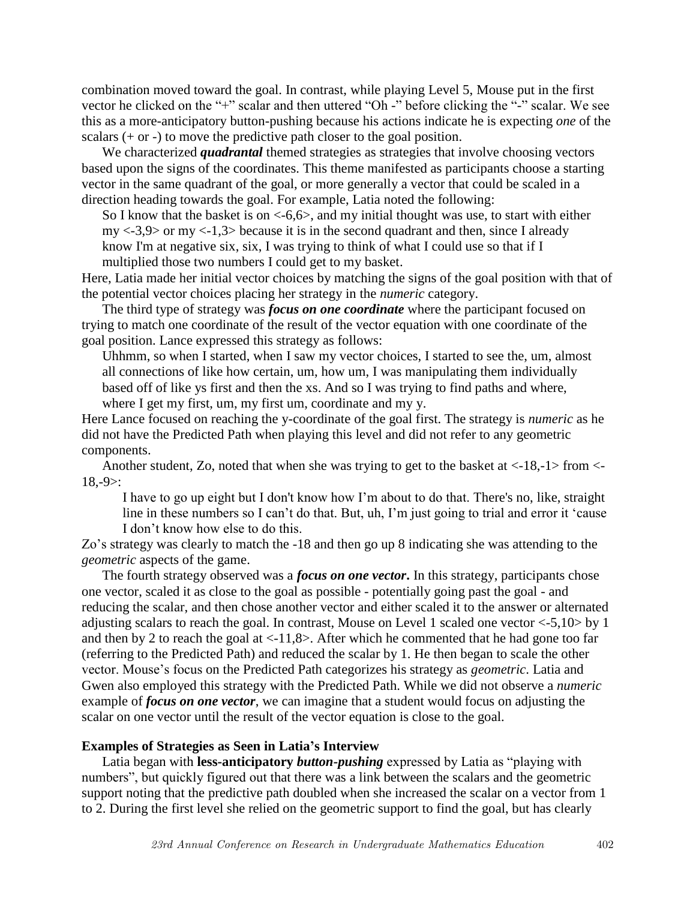combination moved toward the goal. In contrast, while playing Level 5, Mouse put in the first vector he clicked on the "+" scalar and then uttered "Oh -" before clicking the "-" scalar. We see this as a more-anticipatory button-pushing because his actions indicate he is expecting *one* of the scalars  $(+ or -)$  to move the predictive path closer to the goal position.

We characterized *quadrantal* themed strategies as strategies that involve choosing vectors based upon the signs of the coordinates. This theme manifested as participants choose a starting vector in the same quadrant of the goal, or more generally a vector that could be scaled in a direction heading towards the goal. For example, Latia noted the following:

So I know that the basket is on  $\lt$ -6,6 $>$ , and my initial thought was use, to start with either  $my < -3.9$  or  $my < -1.3$  because it is in the second quadrant and then, since I already know I'm at negative six, six, I was trying to think of what I could use so that if I

multiplied those two numbers I could get to my basket.

Here, Latia made her initial vector choices by matching the signs of the goal position with that of the potential vector choices placing her strategy in the *numeric* category.

The third type of strategy was *focus on one coordinate* where the participant focused on trying to match one coordinate of the result of the vector equation with one coordinate of the goal position. Lance expressed this strategy as follows:

Uhhmm, so when I started, when I saw my vector choices, I started to see the, um, almost all connections of like how certain, um, how um, I was manipulating them individually based off of like ys first and then the xs. And so I was trying to find paths and where, where I get my first, um, my first um, coordinate and my y.

Here Lance focused on reaching the y-coordinate of the goal first. The strategy is *numeric* as he did not have the Predicted Path when playing this level and did not refer to any geometric components.

Another student, Zo, noted that when she was trying to get to the basket at <-18,-1> from <-  $18,-9$ :

I have to go up eight but I don't know how I'm about to do that. There's no, like, straight line in these numbers so I can't do that. But, uh, I'm just going to trial and error it 'cause I don't know how else to do this.

Zo's strategy was clearly to match the -18 and then go up 8 indicating she was attending to the *geometric* aspects of the game.

The fourth strategy observed was a *focus on one vector***.** In this strategy, participants chose one vector, scaled it as close to the goal as possible - potentially going past the goal - and reducing the scalar, and then chose another vector and either scaled it to the answer or alternated adjusting scalars to reach the goal. In contrast, Mouse on Level 1 scaled one vector <-5,10> by 1 and then by 2 to reach the goal at  $\langle -11, 8 \rangle$ . After which he commented that he had gone too far (referring to the Predicted Path) and reduced the scalar by 1. He then began to scale the other vector. Mouse's focus on the Predicted Path categorizes his strategy as *geometric*. Latia and Gwen also employed this strategy with the Predicted Path. While we did not observe a *numeric* example of *focus on one vector*, we can imagine that a student would focus on adjusting the scalar on one vector until the result of the vector equation is close to the goal.

### **Examples of Strategies as Seen in Latia's Interview**

Latia began with **less-anticipatory** *button-pushing* expressed by Latia as "playing with numbers", but quickly figured out that there was a link between the scalars and the geometric support noting that the predictive path doubled when she increased the scalar on a vector from 1 to 2. During the first level she relied on the geometric support to find the goal, but has clearly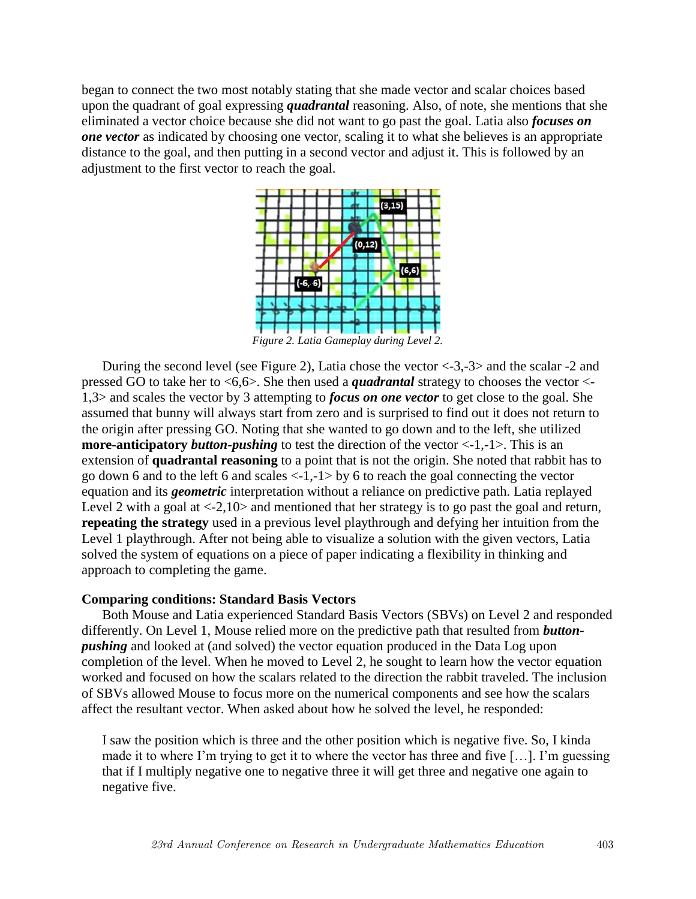began to connect the two most notably stating that she made vector and scalar choices based upon the quadrant of goal expressing *quadrantal* reasoning. Also, of note, she mentions that she eliminated a vector choice because she did not want to go past the goal. Latia also *focuses on one vector* as indicated by choosing one vector, scaling it to what she believes is an appropriate distance to the goal, and then putting in a second vector and adjust it. This is followed by an adjustment to the first vector to reach the goal.



During the second level (see Figure 2), Latia chose the vector  $\langle -3,-3 \rangle$  and the scalar -2 and pressed GO to take her to <6,6>. She then used a *quadrantal* strategy to chooses the vector <- 1,3> and scales the vector by 3 attempting to *focus on one vector* to get close to the goal. She assumed that bunny will always start from zero and is surprised to find out it does not return to the origin after pressing GO. Noting that she wanted to go down and to the left, she utilized **more-anticipatory** *button-pushing* to test the direction of the vector  $\langle -1,-1 \rangle$ . This is an extension of **quadrantal reasoning** to a point that is not the origin. She noted that rabbit has to go down 6 and to the left 6 and scales <-1,-1> by 6 to reach the goal connecting the vector equation and its *geometric* interpretation without a reliance on predictive path. Latia replayed Level 2 with a goal at  $\langle -2, 10 \rangle$  and mentioned that her strategy is to go past the goal and return, **repeating the strategy** used in a previous level playthrough and defying her intuition from the Level 1 playthrough. After not being able to visualize a solution with the given vectors, Latia solved the system of equations on a piece of paper indicating a flexibility in thinking and approach to completing the game.

## **Comparing conditions: Standard Basis Vectors**

Both Mouse and Latia experienced Standard Basis Vectors (SBVs) on Level 2 and responded differently. On Level 1, Mouse relied more on the predictive path that resulted from *buttonpushing* and looked at (and solved) the vector equation produced in the Data Log upon completion of the level. When he moved to Level 2, he sought to learn how the vector equation worked and focused on how the scalars related to the direction the rabbit traveled. The inclusion of SBVs allowed Mouse to focus more on the numerical components and see how the scalars affect the resultant vector. When asked about how he solved the level, he responded:

I saw the position which is three and the other position which is negative five. So, I kinda made it to where I'm trying to get it to where the vector has three and five […]. I'm guessing that if I multiply negative one to negative three it will get three and negative one again to negative five.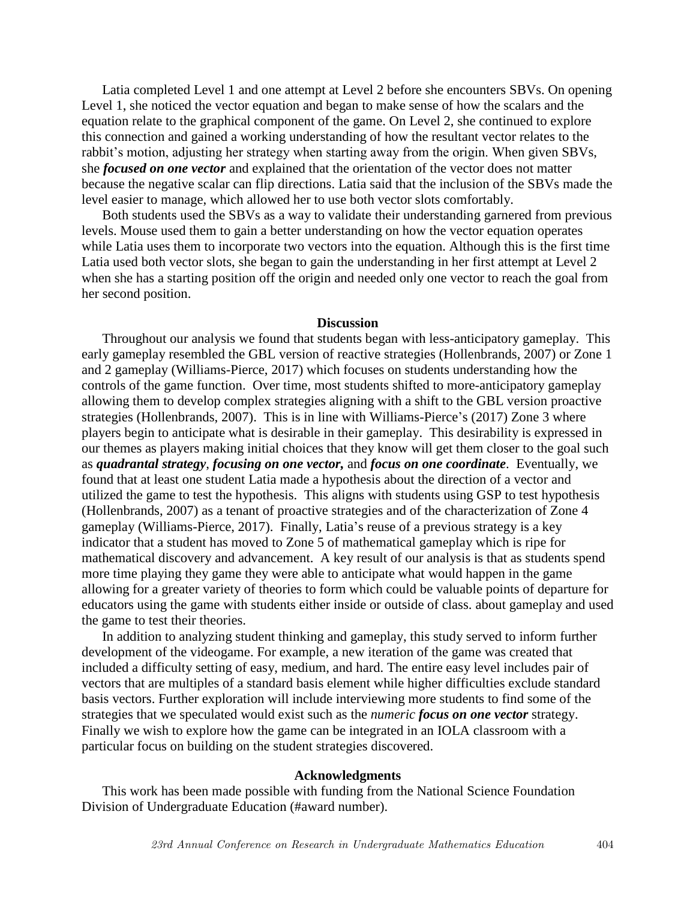Latia completed Level 1 and one attempt at Level 2 before she encounters SBVs. On opening Level 1, she noticed the vector equation and began to make sense of how the scalars and the equation relate to the graphical component of the game. On Level 2, she continued to explore this connection and gained a working understanding of how the resultant vector relates to the rabbit's motion, adjusting her strategy when starting away from the origin. When given SBVs, she *focused on one vector* and explained that the orientation of the vector does not matter because the negative scalar can flip directions. Latia said that the inclusion of the SBVs made the level easier to manage, which allowed her to use both vector slots comfortably.

Both students used the SBVs as a way to validate their understanding garnered from previous levels. Mouse used them to gain a better understanding on how the vector equation operates while Latia uses them to incorporate two vectors into the equation. Although this is the first time Latia used both vector slots, she began to gain the understanding in her first attempt at Level 2 when she has a starting position off the origin and needed only one vector to reach the goal from her second position.

#### **Discussion**

Throughout our analysis we found that students began with less-anticipatory gameplay. This early gameplay resembled the GBL version of reactive strategies (Hollenbrands, 2007) or Zone 1 and 2 gameplay (Williams-Pierce, 2017) which focuses on students understanding how the controls of the game function. Over time, most students shifted to more-anticipatory gameplay allowing them to develop complex strategies aligning with a shift to the GBL version proactive strategies (Hollenbrands, 2007). This is in line with Williams-Pierce's (2017) Zone 3 where players begin to anticipate what is desirable in their gameplay. This desirability is expressed in our themes as players making initial choices that they know will get them closer to the goal such as *quadrantal strategy*, *focusing on one vector,* and *focus on one coordinate*. Eventually, we found that at least one student Latia made a hypothesis about the direction of a vector and utilized the game to test the hypothesis. This aligns with students using GSP to test hypothesis (Hollenbrands, 2007) as a tenant of proactive strategies and of the characterization of Zone 4 gameplay (Williams-Pierce, 2017). Finally, Latia's reuse of a previous strategy is a key indicator that a student has moved to Zone 5 of mathematical gameplay which is ripe for mathematical discovery and advancement. A key result of our analysis is that as students spend more time playing they game they were able to anticipate what would happen in the game allowing for a greater variety of theories to form which could be valuable points of departure for educators using the game with students either inside or outside of class. about gameplay and used the game to test their theories.

In addition to analyzing student thinking and gameplay, this study served to inform further development of the videogame. For example, a new iteration of the game was created that included a difficulty setting of easy, medium, and hard. The entire easy level includes pair of vectors that are multiples of a standard basis element while higher difficulties exclude standard basis vectors. Further exploration will include interviewing more students to find some of the strategies that we speculated would exist such as the *numeric focus on one vector* strategy. Finally we wish to explore how the game can be integrated in an IOLA classroom with a particular focus on building on the student strategies discovered.

#### **Acknowledgments**

This work has been made possible with funding from the National Science Foundation Division of Undergraduate Education (#award number).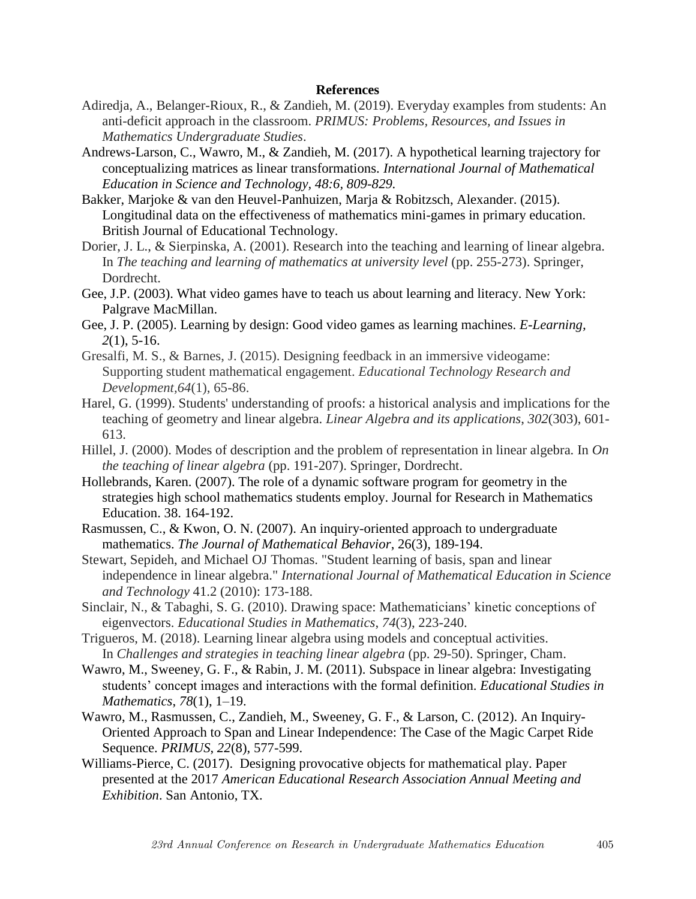### **References**

- Adiredja, A., Belanger-Rioux, R., & Zandieh, M. (2019). Everyday examples from students: An anti-deficit approach in the classroom. *PRIMUS: Problems, Resources, and Issues in Mathematics Undergraduate Studies*.
- Andrews-Larson, C., Wawro, M., & Zandieh, M. (2017). A hypothetical learning trajectory for conceptualizing matrices as linear transformations. *International Journal of Mathematical Education in Science and Technology, 48:6, 809-829.*
- Bakker, Marjoke & van den Heuvel-Panhuizen, Marja & Robitzsch, Alexander. (2015). Longitudinal data on the effectiveness of mathematics mini-games in primary education. British Journal of Educational Technology.
- Dorier, J. L., & Sierpinska, A. (2001). Research into the teaching and learning of linear algebra. In *The teaching and learning of mathematics at university level* (pp. 255-273). Springer, Dordrecht.
- Gee, J.P. (2003). What video games have to teach us about learning and literacy. New York: Palgrave MacMillan.
- Gee, J. P. (2005). Learning by design: Good video games as learning machines. *E-Learning, 2*(1), 5-16.
- Gresalfi, M. S., & Barnes, J. (2015). Designing feedback in an immersive videogame: Supporting student mathematical engagement. *Educational Technology Research and Development,64*(1), 65-86.
- Harel, G. (1999). Students' understanding of proofs: a historical analysis and implications for the teaching of geometry and linear algebra. *Linear Algebra and its applications*, *302*(303), 601- 613.
- Hillel, J. (2000). Modes of description and the problem of representation in linear algebra. In *On the teaching of linear algebra* (pp. 191-207). Springer, Dordrecht.
- Hollebrands, Karen. (2007). The role of a dynamic software program for geometry in the strategies high school mathematics students employ. Journal for Research in Mathematics Education. 38. 164-192.
- Rasmussen, C., & Kwon, O. N. (2007). An inquiry-oriented approach to undergraduate mathematics. *The Journal of Mathematical Behavior*, 26(3), 189-194.
- Stewart, Sepideh, and Michael OJ Thomas. "Student learning of basis, span and linear independence in linear algebra." *International Journal of Mathematical Education in Science and Technology* 41.2 (2010): 173-188.
- Sinclair, N., & Tabaghi, S. G. (2010). Drawing space: Mathematicians' kinetic conceptions of eigenvectors. *Educational Studies in Mathematics*, *74*(3), 223-240.
- Trigueros, M. (2018). Learning linear algebra using models and conceptual activities. In *Challenges and strategies in teaching linear algebra* (pp. 29-50). Springer, Cham.
- Wawro, M., Sweeney, G. F., & Rabin, J. M. (2011). Subspace in linear algebra: Investigating students' concept images and interactions with the formal definition. *Educational Studies in Mathematics*, *78*(1), 1–19.
- Wawro, M., Rasmussen, C., Zandieh, M., Sweeney, G. F., & Larson, C. (2012). An Inquiry-Oriented Approach to Span and Linear Independence: The Case of the Magic Carpet Ride Sequence. *PRIMUS*, *22*(8), 577-599.
- Williams-Pierce, C. (2017). Designing provocative objects for mathematical play. Paper presented at the 2017 *American Educational Research Association Annual Meeting and Exhibition*. San Antonio, TX.